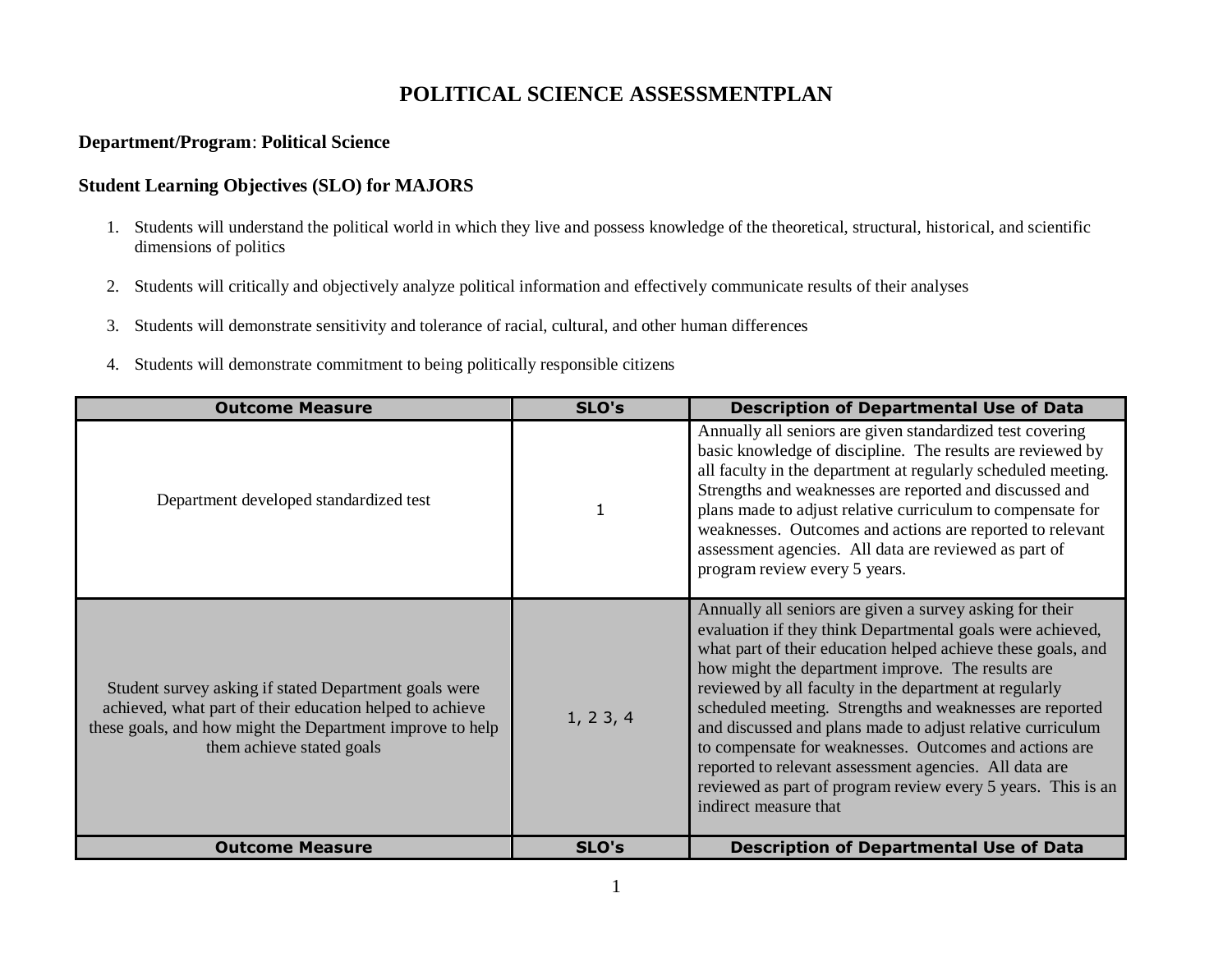# **POLITICAL SCIENCE ASSESSMENTPLAN**

#### **Department/Program**: **Political Science**

### **Student Learning Objectives (SLO) for MAJORS**

- 1. Students will understand the political world in which they live and possess knowledge of the theoretical, structural, historical, and scientific dimensions of politics
- 2. Students will critically and objectively analyze political information and effectively communicate results of their analyses
- 3. Students will demonstrate sensitivity and tolerance of racial, cultural, and other human differences
- 4. Students will demonstrate commitment to being politically responsible citizens

| <b>Outcome Measure</b>                                                                                                                                                                                      | SLO's        | <b>Description of Departmental Use of Data</b>                                                                                                                                                                                                                                                                                                                                                                                                                                                                                                                                                                                               |
|-------------------------------------------------------------------------------------------------------------------------------------------------------------------------------------------------------------|--------------|----------------------------------------------------------------------------------------------------------------------------------------------------------------------------------------------------------------------------------------------------------------------------------------------------------------------------------------------------------------------------------------------------------------------------------------------------------------------------------------------------------------------------------------------------------------------------------------------------------------------------------------------|
| Department developed standardized test                                                                                                                                                                      | $\mathbf{1}$ | Annually all seniors are given standardized test covering<br>basic knowledge of discipline. The results are reviewed by<br>all faculty in the department at regularly scheduled meeting.<br>Strengths and weaknesses are reported and discussed and<br>plans made to adjust relative curriculum to compensate for<br>weaknesses. Outcomes and actions are reported to relevant<br>assessment agencies. All data are reviewed as part of<br>program review every 5 years.                                                                                                                                                                     |
| Student survey asking if stated Department goals were<br>achieved, what part of their education helped to achieve<br>these goals, and how might the Department improve to help<br>them achieve stated goals | 1, 23, 4     | Annually all seniors are given a survey asking for their<br>evaluation if they think Departmental goals were achieved,<br>what part of their education helped achieve these goals, and<br>how might the department improve. The results are<br>reviewed by all faculty in the department at regularly<br>scheduled meeting. Strengths and weaknesses are reported<br>and discussed and plans made to adjust relative curriculum<br>to compensate for weaknesses. Outcomes and actions are<br>reported to relevant assessment agencies. All data are<br>reviewed as part of program review every 5 years. This is an<br>indirect measure that |
| <b>Outcome Measure</b>                                                                                                                                                                                      | SLO's        | <b>Description of Departmental Use of Data</b>                                                                                                                                                                                                                                                                                                                                                                                                                                                                                                                                                                                               |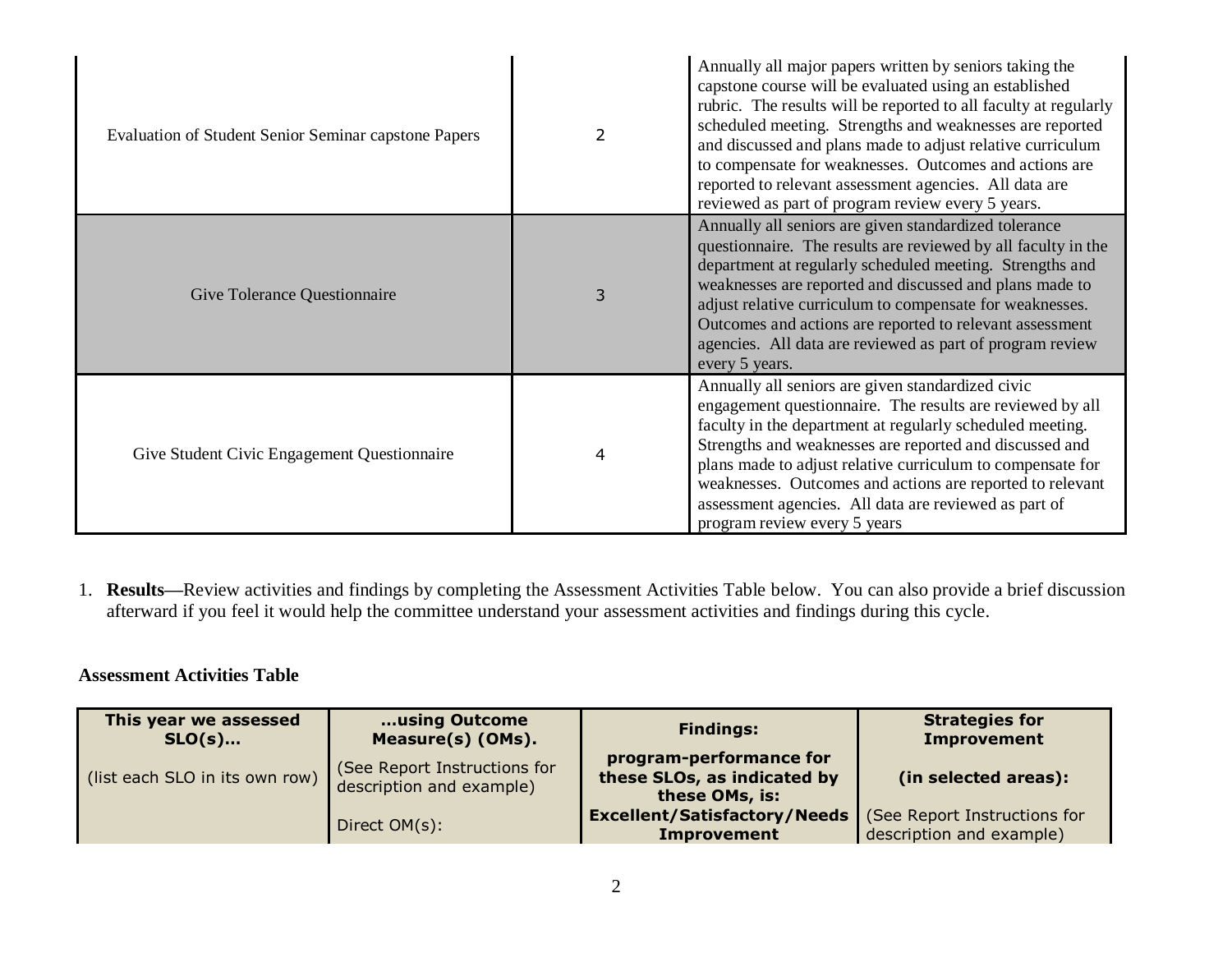| <b>Evaluation of Student Senior Seminar capstone Papers</b> | $\mathcal{P}$ | Annually all major papers written by seniors taking the<br>capstone course will be evaluated using an established<br>rubric. The results will be reported to all faculty at regularly<br>scheduled meeting. Strengths and weaknesses are reported<br>and discussed and plans made to adjust relative curriculum<br>to compensate for weaknesses. Outcomes and actions are<br>reported to relevant assessment agencies. All data are<br>reviewed as part of program review every 5 years. |
|-------------------------------------------------------------|---------------|------------------------------------------------------------------------------------------------------------------------------------------------------------------------------------------------------------------------------------------------------------------------------------------------------------------------------------------------------------------------------------------------------------------------------------------------------------------------------------------|
| Give Tolerance Questionnaire                                | 3             | Annually all seniors are given standardized tolerance<br>questionnaire. The results are reviewed by all faculty in the<br>department at regularly scheduled meeting. Strengths and<br>weaknesses are reported and discussed and plans made to<br>adjust relative curriculum to compensate for weaknesses.<br>Outcomes and actions are reported to relevant assessment<br>agencies. All data are reviewed as part of program review<br>every 5 years.                                     |
| Give Student Civic Engagement Questionnaire                 | 4             | Annually all seniors are given standardized civic<br>engagement questionnaire. The results are reviewed by all<br>faculty in the department at regularly scheduled meeting.<br>Strengths and weaknesses are reported and discussed and<br>plans made to adjust relative curriculum to compensate for<br>weaknesses. Outcomes and actions are reported to relevant<br>assessment agencies. All data are reviewed as part of<br>program review every 5 years                               |

1. **Results—**Review activities and findings by completing the Assessment Activities Table below. You can also provide a brief discussion afterward if you feel it would help the committee understand your assessment activities and findings during this cycle.

### **Assessment Activities Table**

| This year we assessed<br>$SLO(s)$ | using Outcome<br>Measure(s) (OMs).                       | <b>Findings:</b>                                                         | <b>Strategies for</b><br><b>Improvement</b>             |
|-----------------------------------|----------------------------------------------------------|--------------------------------------------------------------------------|---------------------------------------------------------|
| (list each SLO in its own row)    | (See Report Instructions for<br>description and example) | program-performance for<br>these SLOs, as indicated by<br>these OMs, is: | (in selected areas):                                    |
|                                   | Direct OM(s):                                            | <b>Excellent/Satisfactory/Needs</b><br><b>Improvement</b>                | See Report Instructions for<br>description and example) |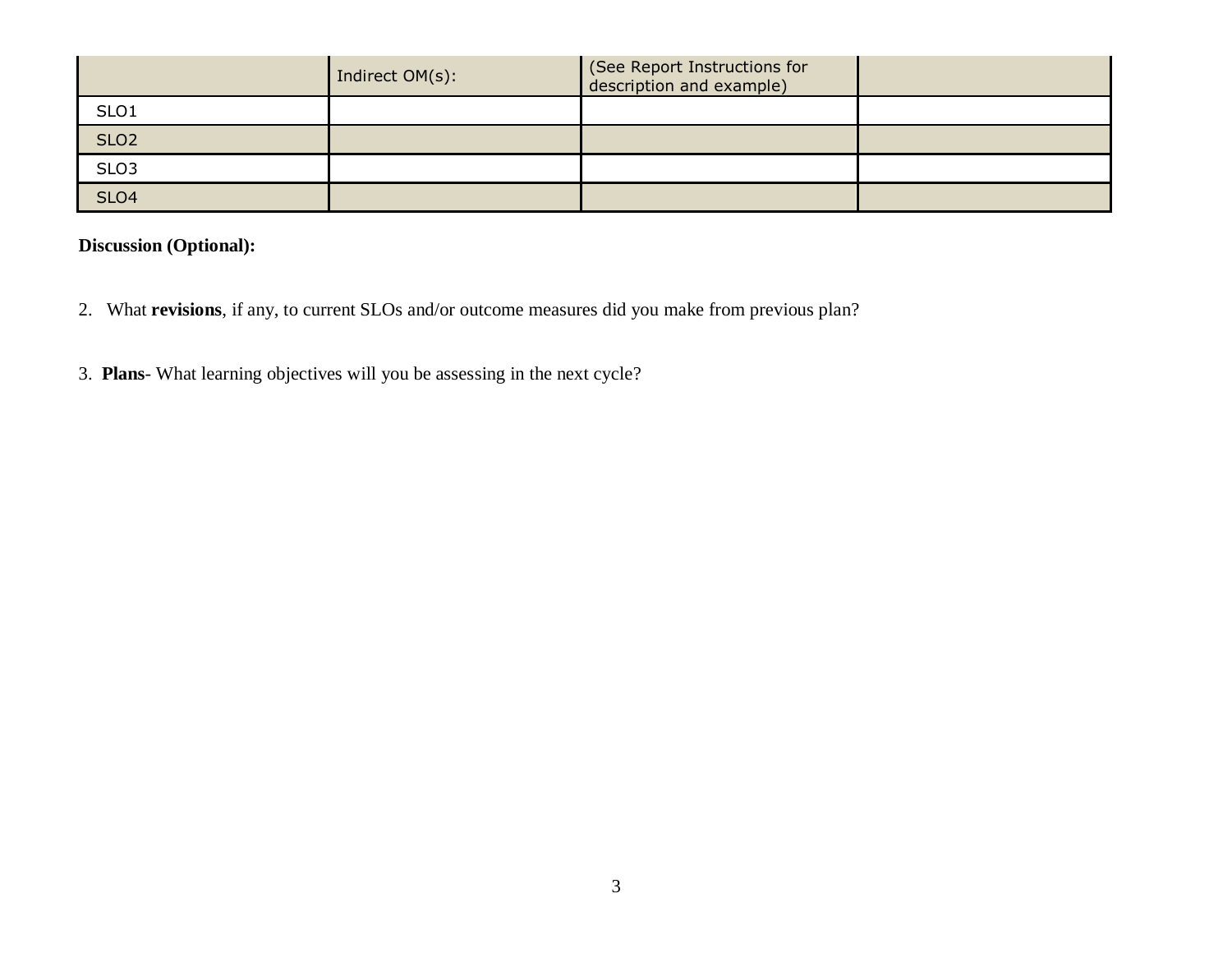|                  | Indirect OM(s): | (See Report Instructions for<br>description and example) |  |
|------------------|-----------------|----------------------------------------------------------|--|
| SLO <sub>1</sub> |                 |                                                          |  |
| SLO <sub>2</sub> |                 |                                                          |  |
| SLO <sub>3</sub> |                 |                                                          |  |
| SLO <sub>4</sub> |                 |                                                          |  |

# **Discussion (Optional):**

- 2. What **revisions**, if any, to current SLOs and/or outcome measures did you make from previous plan?
- 3. **Plans** What learning objectives will you be assessing in the next cycle?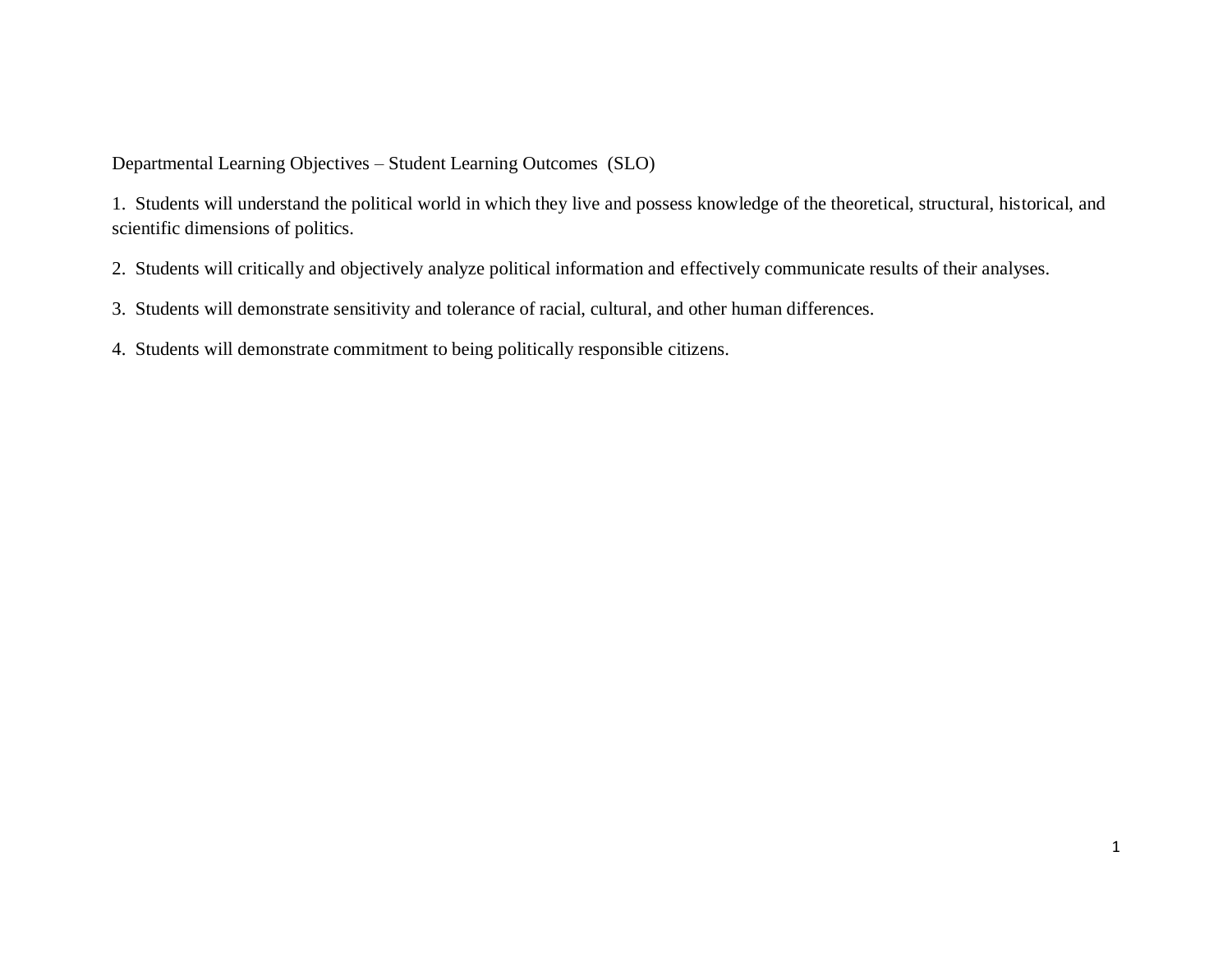Departmental Learning Objectives – Student Learning Outcomes (SLO)

1. Students will understand the political world in which they live and possess knowledge of the theoretical, structural, historical, and scientific dimensions of politics.

2. Students will critically and objectively analyze political information and effectively communicate results of their analyses.

3. Students will demonstrate sensitivity and tolerance of racial, cultural, and other human differences.

4. Students will demonstrate commitment to being politically responsible citizens.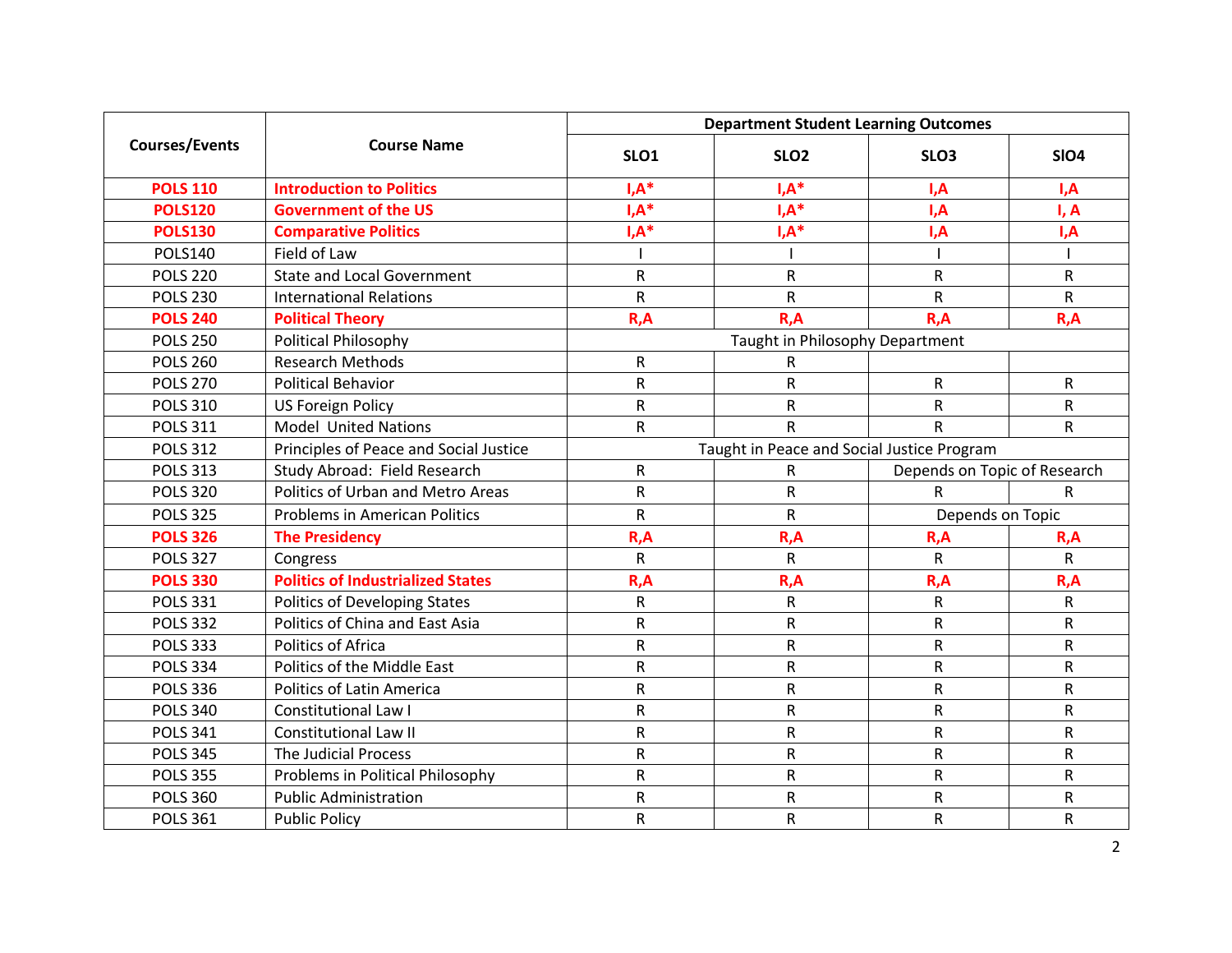| <b>Courses/Events</b> | <b>Course Name</b>                       | <b>Department Student Learning Outcomes</b> |                                 |                              |              |
|-----------------------|------------------------------------------|---------------------------------------------|---------------------------------|------------------------------|--------------|
|                       |                                          | SLO1                                        | SLO <sub>2</sub>                | SLO <sub>3</sub>             | <b>SIO4</b>  |
| <b>POLS 110</b>       | <b>Introduction to Politics</b>          | $I, A^*$                                    | $I, A^*$                        | I, A                         | I, A         |
| <b>POLS120</b>        | <b>Government of the US</b>              | $I, A^*$                                    | $I, A^*$                        | I,A                          | I, A         |
| <b>POLS130</b>        | <b>Comparative Politics</b>              | $I, A^*$                                    | $I, A^*$                        | I,A                          | I,A          |
| <b>POLS140</b>        | Field of Law                             |                                             |                                 |                              |              |
| <b>POLS 220</b>       | <b>State and Local Government</b>        | $\mathsf{R}$                                | R                               | ${\sf R}$                    | R            |
| <b>POLS 230</b>       | <b>International Relations</b>           | $\mathsf R$                                 | R                               | $\mathsf{R}$                 | ${\sf R}$    |
| <b>POLS 240</b>       | <b>Political Theory</b>                  | R, A                                        | R, A                            | R, A                         | R, A         |
| <b>POLS 250</b>       | Political Philosophy                     |                                             | Taught in Philosophy Department |                              |              |
| <b>POLS 260</b>       | <b>Research Methods</b>                  | $\mathsf{R}$                                | R                               |                              |              |
| <b>POLS 270</b>       | <b>Political Behavior</b>                | ${\sf R}$                                   | R                               | R                            | R            |
| <b>POLS 310</b>       | <b>US Foreign Policy</b>                 | ${\sf R}$                                   | $\sf R$                         | $\mathsf{R}$                 | R            |
| <b>POLS 311</b>       | <b>Model United Nations</b>              | ${\sf R}$                                   | R                               | $\mathsf{R}$                 | ${\sf R}$    |
| <b>POLS 312</b>       | Principles of Peace and Social Justice   | Taught in Peace and Social Justice Program  |                                 |                              |              |
| <b>POLS 313</b>       | Study Abroad: Field Research             | R                                           | R                               | Depends on Topic of Research |              |
| <b>POLS 320</b>       | Politics of Urban and Metro Areas        | $\mathsf R$                                 | R                               | R                            | R.           |
| <b>POLS 325</b>       | <b>Problems in American Politics</b>     | $\mathsf R$<br>R<br>Depends on Topic        |                                 |                              |              |
| <b>POLS 326</b>       | <b>The Presidency</b>                    | R, A                                        | R, A                            | R, A                         | R, A         |
| <b>POLS 327</b>       | Congress                                 | $\mathsf{R}$                                | R                               | $\mathsf{R}$                 | $\mathsf{R}$ |
| <b>POLS 330</b>       | <b>Politics of Industrialized States</b> | R, A                                        | R, A                            | R, A                         | R, A         |
| <b>POLS 331</b>       | Politics of Developing States            | $\mathsf R$                                 | R                               | ${\sf R}$                    | $\mathsf{R}$ |
| <b>POLS 332</b>       | Politics of China and East Asia          | ${\sf R}$                                   | R                               | $\mathsf{R}$                 | ${\sf R}$    |
| <b>POLS 333</b>       | Politics of Africa                       | ${\sf R}$                                   | R                               | $\mathsf R$                  | ${\sf R}$    |
| <b>POLS 334</b>       | Politics of the Middle East              | $\mathsf R$                                 | R                               | $\mathsf R$                  | ${\sf R}$    |
| <b>POLS 336</b>       | Politics of Latin America                | $\mathsf R$                                 | R                               | $\mathsf R$                  | ${\sf R}$    |
| <b>POLS 340</b>       | <b>Constitutional Law I</b>              | ${\sf R}$                                   | R                               | $\mathsf R$                  | ${\sf R}$    |
| <b>POLS 341</b>       | <b>Constitutional Law II</b>             | $\mathsf R$                                 | R                               | $\mathsf R$                  | ${\sf R}$    |
| <b>POLS 345</b>       | The Judicial Process                     | $\mathsf R$                                 | R                               | $\mathsf R$                  | ${\sf R}$    |
| <b>POLS 355</b>       | Problems in Political Philosophy         | $\mathsf R$                                 | R                               | R                            | ${\sf R}$    |
| <b>POLS 360</b>       | <b>Public Administration</b>             | $\mathsf{R}$                                | R                               | ${\sf R}$                    | ${\sf R}$    |
| <b>POLS 361</b>       | <b>Public Policy</b>                     | $\mathsf{R}$                                | R                               | $\mathsf{R}$                 | ${\sf R}$    |